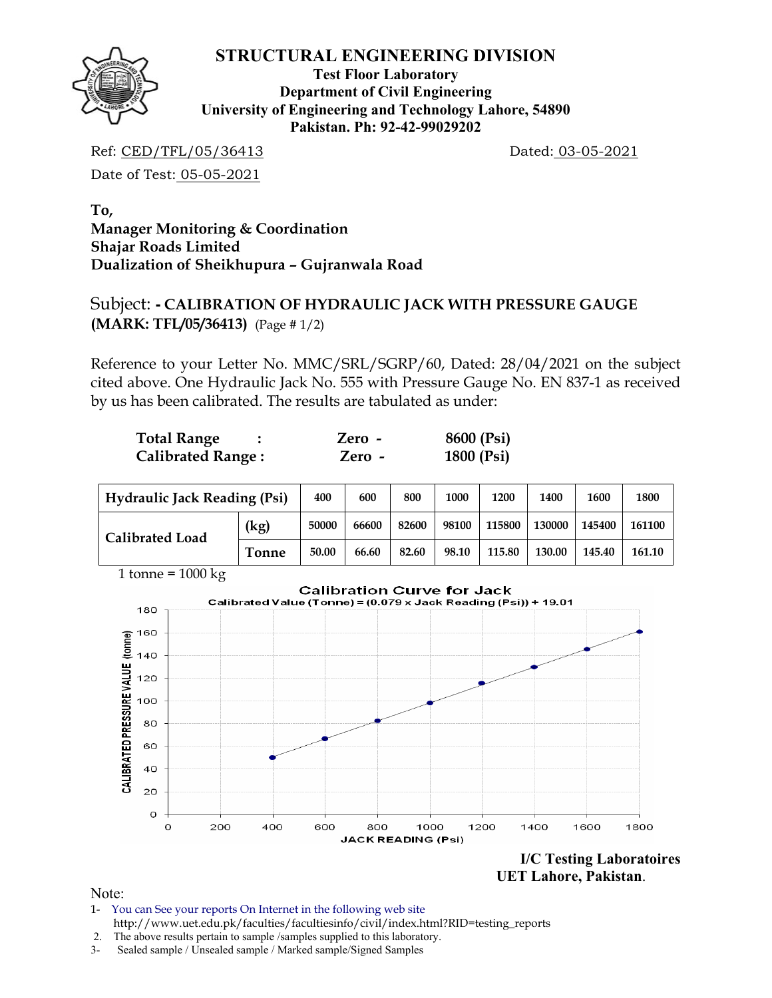

**Test Floor Laboratory Department of Civil Engineering University of Engineering and Technology Lahore, 54890 Pakistan. Ph: 92-42-99029202** 

Ref: CED/TFL/05/36413 Dated: 03-05-2021

Date of Test: 05-05-2021

**To, Manager Monitoring & Coordination Shajar Roads Limited Dualization of Sheikhupura – Gujranwala Road** 

# Subject: **- CALIBRATION OF HYDRAULIC JACK WITH PRESSURE GAUGE (MARK: TFL/05/36413)** (Page # 1/2)

Reference to your Letter No. MMC/SRL/SGRP/60, Dated: 28/04/2021 on the subject cited above. One Hydraulic Jack No. 555 with Pressure Gauge No. EN 837-1 as received by us has been calibrated. The results are tabulated as under:

| <b>Total Range</b>       | Zero -   | 8600 (Psi) |
|--------------------------|----------|------------|
| <b>Calibrated Range:</b> | $Zero -$ | 1800 (Psi) |

| <b>Hydraulic Jack Reading (Psi)</b> |              | 400   | 600   | 800   | 1000  | 1200   | 1400   | 1600   | 1800   |
|-------------------------------------|--------------|-------|-------|-------|-------|--------|--------|--------|--------|
| <b>Calibrated Load</b>              | (kg)         | 50000 | 66600 | 82600 | 98100 | 115800 | 130000 | 145400 | 161100 |
|                                     | <b>Tonne</b> | 50.00 | 66.60 | 82.60 | 98.10 | 115.80 | 130.00 | 145.40 | 161.10 |



 **UET Lahore, Pakistan**.

Note:

- 1- You can See your reports On Internet in the following web site http://www.uet.edu.pk/faculties/facultiesinfo/civil/index.html?RID=testing\_reports
- 2. The above results pertain to sample /samples supplied to this laboratory.
- 3- Sealed sample / Unsealed sample / Marked sample/Signed Samples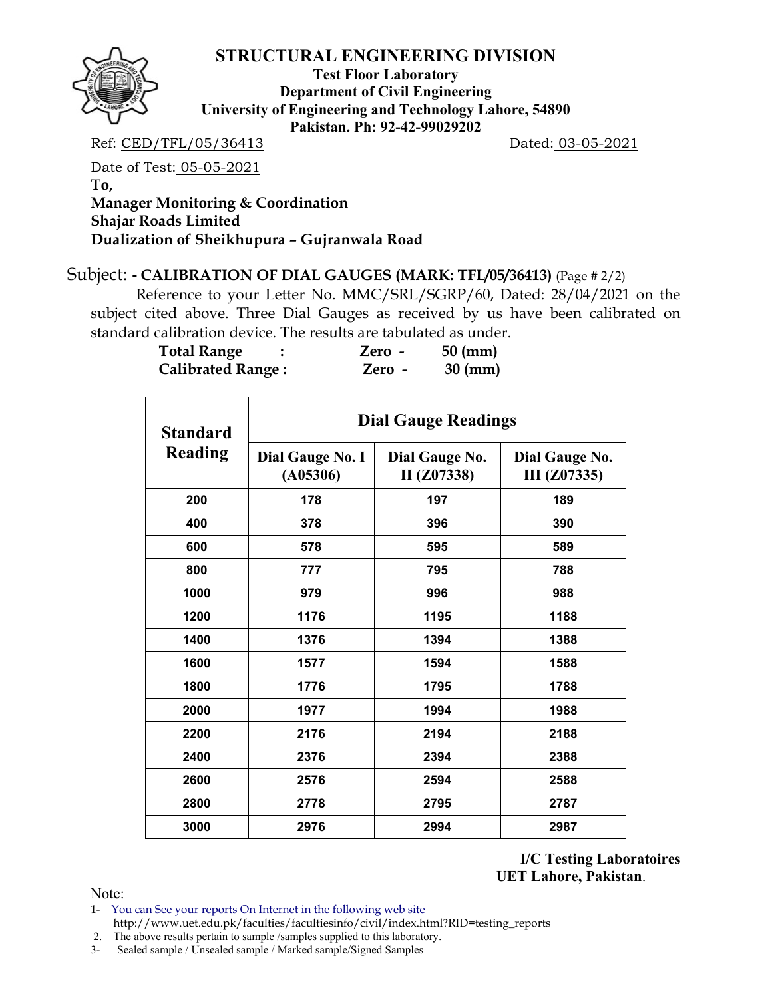

**Test Floor Laboratory Department of Civil Engineering University of Engineering and Technology Lahore, 54890 Pakistan. Ph: 92-42-99029202** 

Ref: CED/TFL/05/36413 Dated: 03-05-2021

Date of Test: 05-05-2021 **To, Manager Monitoring & Coordination Shajar Roads Limited Dualization of Sheikhupura – Gujranwala Road** 

#### Subject: **- CALIBRATION OF DIAL GAUGES (MARK: TFL/05/36413)** (Page # 2/2)

 Reference to your Letter No. MMC/SRL/SGRP/60, Dated: 28/04/2021 on the subject cited above. Three Dial Gauges as received by us have been calibrated on standard calibration device. The results are tabulated as under.

| <b>Total Range</b>       | Zero - | $50 \text{ (mm)}$ |
|--------------------------|--------|-------------------|
| <b>Calibrated Range:</b> | Zero - | $30 \text{ (mm)}$ |

| <b>Standard</b><br>Reading | <b>Dial Gauge Readings</b>          |                               |                                |  |  |  |  |
|----------------------------|-------------------------------------|-------------------------------|--------------------------------|--|--|--|--|
|                            | <b>Dial Gauge No. I</b><br>(A05306) | Dial Gauge No.<br>II (Z07338) | Dial Gauge No.<br>III (Z07335) |  |  |  |  |
| 200                        | 178                                 | 197                           | 189                            |  |  |  |  |
| 400                        | 378                                 | 396                           | 390                            |  |  |  |  |
| 600                        | 578                                 | 595                           | 589                            |  |  |  |  |
| 800                        | 777                                 | 795                           | 788                            |  |  |  |  |
| 1000                       | 979                                 | 996                           | 988                            |  |  |  |  |
| 1200                       | 1176                                | 1195                          | 1188                           |  |  |  |  |
| 1400                       | 1376                                | 1394                          | 1388                           |  |  |  |  |
| 1600                       | 1577                                | 1594                          | 1588                           |  |  |  |  |
| 1800                       | 1776                                | 1795                          | 1788                           |  |  |  |  |
| 2000                       | 1977                                | 1994                          | 1988                           |  |  |  |  |
| 2200                       | 2176                                | 2194                          | 2188                           |  |  |  |  |
| 2400                       | 2376                                | 2394                          | 2388                           |  |  |  |  |
| 2600                       | 2576                                | 2594                          | 2588                           |  |  |  |  |
| 2800                       | 2778                                | 2795                          | 2787                           |  |  |  |  |
| 3000                       | 2976                                | 2994                          | 2987                           |  |  |  |  |

**I/C Testing Laboratoires UET Lahore, Pakistan**.

Note:

1- You can See your reports On Internet in the following web site http://www.uet.edu.pk/faculties/facultiesinfo/civil/index.html?RID=testing\_reports

2. The above results pertain to sample /samples supplied to this laboratory.

3- Sealed sample / Unsealed sample / Marked sample/Signed Samples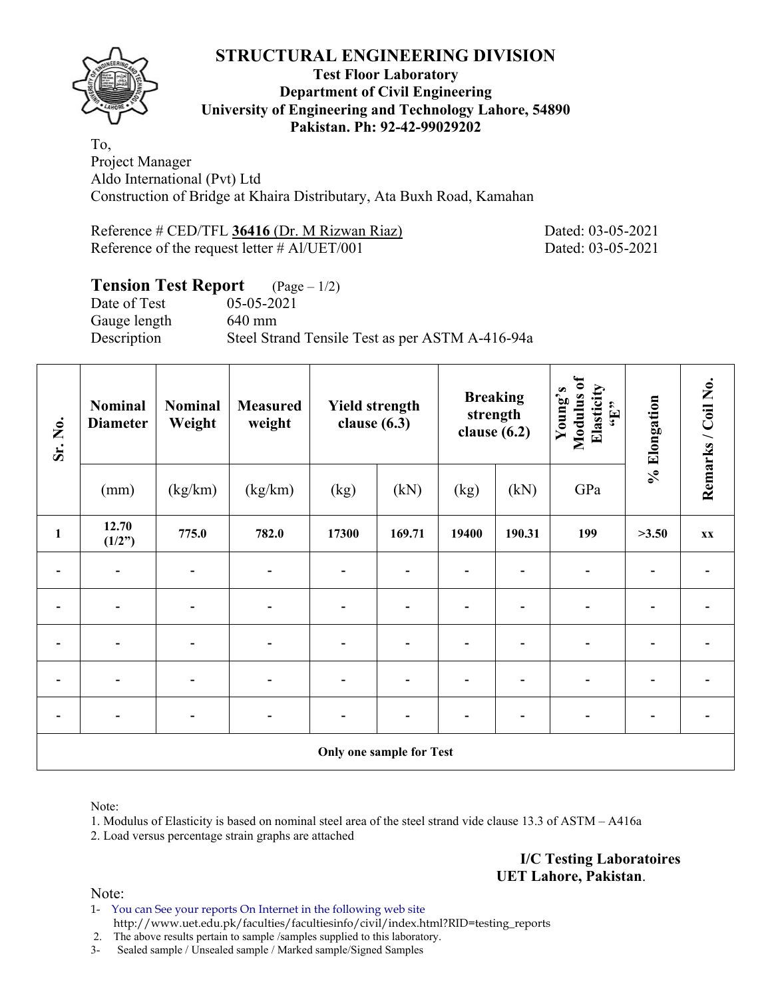

#### **Test Floor Laboratory Department of Civil Engineering University of Engineering and Technology Lahore, 54890 Pakistan. Ph: 92-42-99029202**

To, Project Manager Aldo International (Pvt) Ltd Construction of Bridge at Khaira Distributary, Ata Buxh Road, Kamahan

Reference # CED/TFL 36416 (Dr. M Rizwan Riaz) Dated: 03-05-2021 Reference of the request letter # Al/UET/001 Dated: 03-05-2021

# **Tension Test Report** (Page – 1/2)

Date of Test 05-05-2021 Gauge length 640 mm

Description Steel Strand Tensile Test as per ASTM A-416-94a

| Sr. No.                  | Nominal<br><b>Diameter</b> | Nominal<br>Weight | <b>Measured</b><br>weight | <b>Yield strength</b><br>clause $(6.3)$ |        | <b>Breaking</b><br>strength<br>clause $(6.2)$ |        | Modulus of<br>Elasticity<br>Young's<br>$\mathbf{H}$ | % Elongation | Remarks / Coil No. |
|--------------------------|----------------------------|-------------------|---------------------------|-----------------------------------------|--------|-----------------------------------------------|--------|-----------------------------------------------------|--------------|--------------------|
|                          | (mm)                       | (kg/km)           | (kg/km)                   | (kg)                                    | (kN)   | (kg)                                          | (kN)   | GPa                                                 |              |                    |
| $\mathbf{1}$             | 12.70<br>(1/2")            | 775.0             | 782.0                     | 17300                                   | 169.71 | 19400                                         | 190.31 | 199                                                 | >3.50        | <b>XX</b>          |
|                          |                            |                   |                           |                                         |        |                                               |        |                                                     |              |                    |
|                          | $\overline{\phantom{a}}$   |                   |                           | $\qquad \qquad \blacksquare$            |        |                                               |        |                                                     |              |                    |
|                          | $\overline{\phantom{a}}$   |                   |                           | -                                       |        |                                               |        |                                                     |              |                    |
|                          |                            |                   |                           | $\overline{\phantom{a}}$                |        |                                               |        |                                                     |              |                    |
|                          | $\overline{\phantom{a}}$   |                   |                           |                                         |        |                                               |        |                                                     |              |                    |
| Only one sample for Test |                            |                   |                           |                                         |        |                                               |        |                                                     |              |                    |

Note:

1. Modulus of Elasticity is based on nominal steel area of the steel strand vide clause 13.3 of ASTM – A416a

2. Load versus percentage strain graphs are attached

**I/C Testing Laboratoires UET Lahore, Pakistan**.

Note:

1- You can See your reports On Internet in the following web site http://www.uet.edu.pk/faculties/facultiesinfo/civil/index.html?RID=testing\_reports

2. The above results pertain to sample /samples supplied to this laboratory.

3- Sealed sample / Unsealed sample / Marked sample/Signed Samples